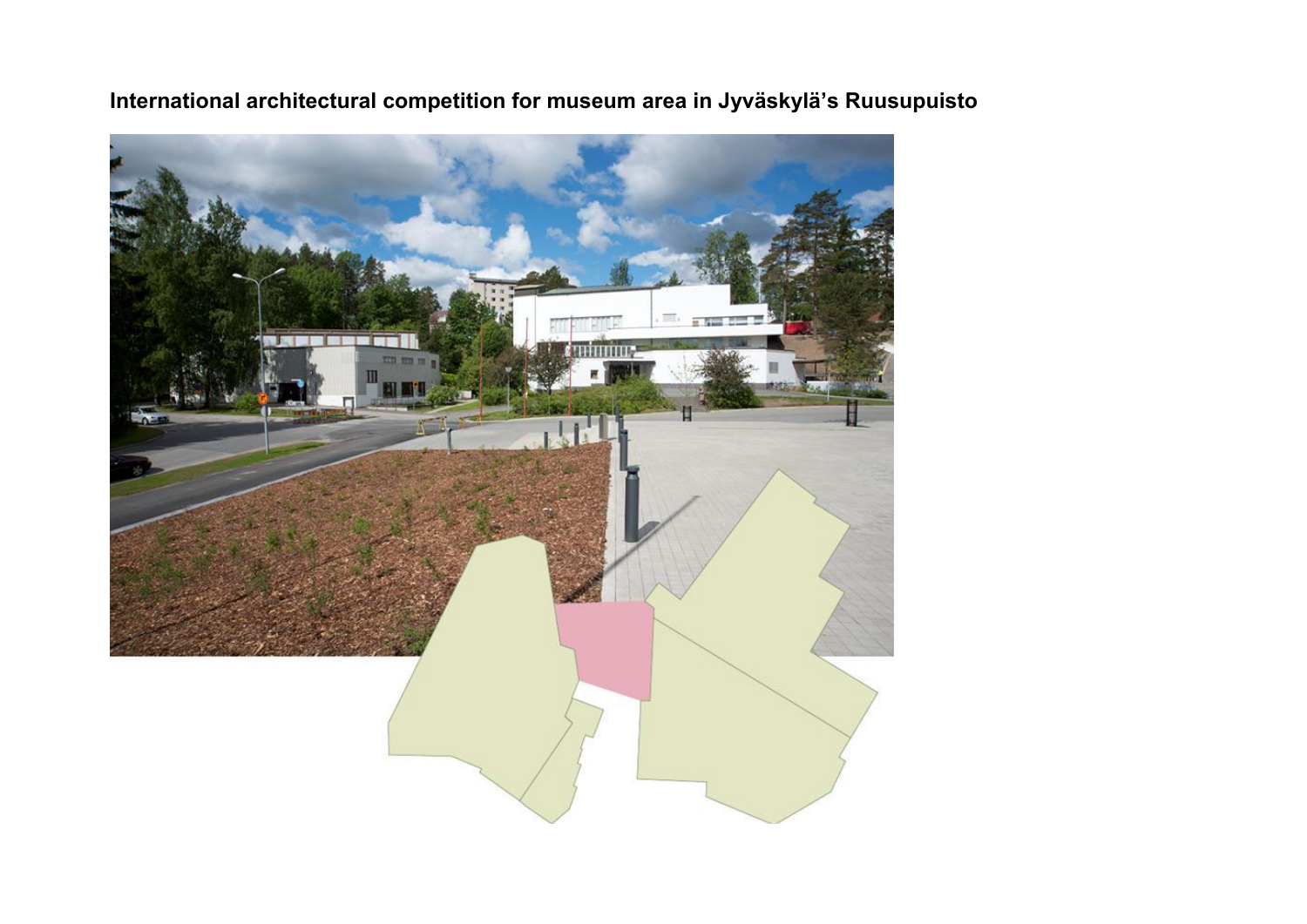

**International architectural competition for museum area in Jyväskylä's Ruusupuisto**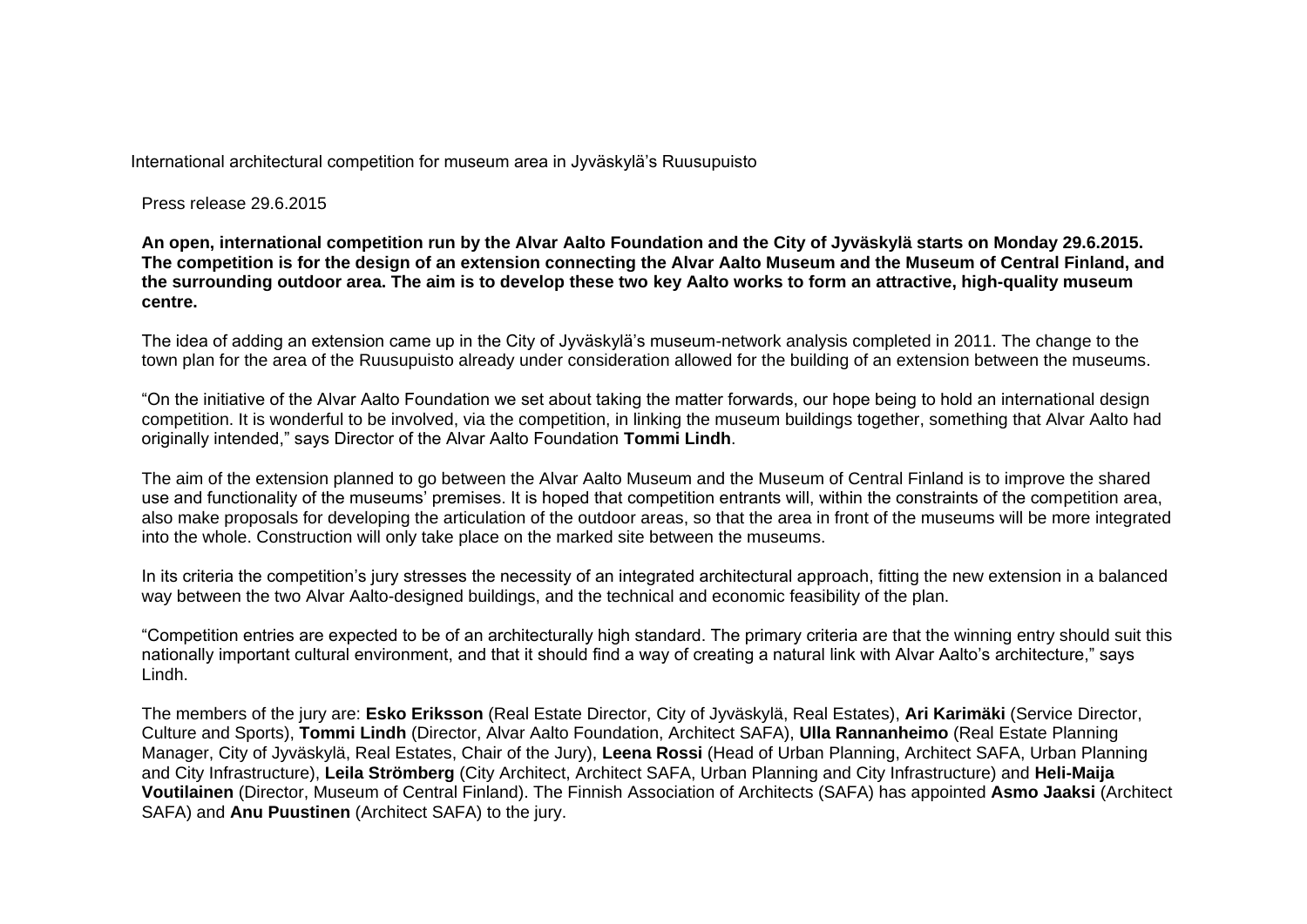International architectural competition for museum area in Jyväskylä's Ruusupuisto

Press release 29.6.2015

**An open, international competition run by the Alvar Aalto Foundation and the City of Jyväskylä starts on Monday 29.6.2015. The competition is for the design of an extension connecting the Alvar Aalto Museum and the Museum of Central Finland, and the surrounding outdoor area. The aim is to develop these two key Aalto works to form an attractive, high-quality museum centre.**

The idea of adding an extension came up in the City of Jyväskylä's museum-network analysis completed in 2011. The change to the town plan for the area of the Ruusupuisto already under consideration allowed for the building of an extension between the museums.

"On the initiative of the Alvar Aalto Foundation we set about taking the matter forwards, our hope being to hold an international design competition. It is wonderful to be involved, via the competition, in linking the museum buildings together, something that Alvar Aalto had originally intended," says Director of the Alvar Aalto Foundation **Tommi Lindh**.

The aim of the extension planned to go between the Alvar Aalto Museum and the Museum of Central Finland is to improve the shared use and functionality of the museums' premises. It is hoped that competition entrants will, within the constraints of the competition area, also make proposals for developing the articulation of the outdoor areas, so that the area in front of the museums will be more integrated into the whole. Construction will only take place on the marked site between the museums.

In its criteria the competition's jury stresses the necessity of an integrated architectural approach, fitting the new extension in a balanced way between the two Alvar Aalto-designed buildings, and the technical and economic feasibility of the plan.

"Competition entries are expected to be of an architecturally high standard. The primary criteria are that the winning entry should suit this nationally important cultural environment, and that it should find a way of creating a natural link with Alvar Aalto's architecture," says Lindh.

The members of the jury are: **Esko Eriksson** (Real Estate Director, City of Jyväskylä, Real Estates), **Ari Karimäki** (Service Director, Culture and Sports), **Tommi Lindh** (Director, Alvar Aalto Foundation, Architect SAFA), **Ulla Rannanheimo** (Real Estate Planning Manager, City of Jyväskylä, Real Estates, Chair of the Jury), **Leena Rossi** (Head of Urban Planning, Architect SAFA, Urban Planning and City Infrastructure), **Leila Strömberg** (City Architect, Architect SAFA, Urban Planning and City Infrastructure) and **Heli-Maija Voutilainen** (Director, Museum of Central Finland). The Finnish Association of Architects (SAFA) has appointed **Asmo Jaaksi** (Architect SAFA) and **Anu Puustinen** (Architect SAFA) to the jury.